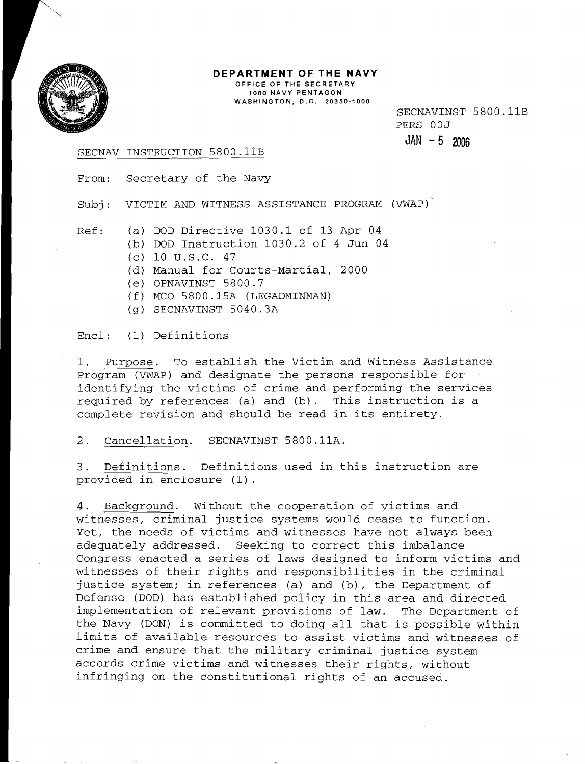

**DEPARTMENT OF THE NAVY**  OFFICE OF THE SECRETARY 1000 NAVY PENTAGON WASHINGTON, D.C. 20350·1000

> SECNAVINST 5800.11B PERS OOJ JAN - 5 **<sup>2006</sup>**

#### SECNAV INSTRUCTION 5800.llB

From: Secretary of the Navy

Subj: VICTIM AND WITNESS ASSISTANCE PROGRAM (VWAP)

Ref: (a) DOD Directive 1030.1 of 13 Apr 04

- (b) DOD Instruction 1030.2 of 4 Jun 04
- (c) 10 U.S.C. 47
- (d) Manual for Courts-Martial, 2000
- (e) OPNAVINST 5800.7
- (f) MCO 5800.15A (LEGADMINMAN)
- (g) SECNAVINST 5040.3A

Encl: (1) Definitions

1. Purpose. To establish the Victim and Witness Assistance Program (VWAP) and designate the persons responsible for identifying the victims of crime and performing the services required by references (a) and (b). This instruction is a complete revision and should be read in its entirety.

2. Cancellation. SECNAVINST 5800.11A.

3. Definitions. Definitions used in this instruction are provided in enclosure (1).

4. Background. Without the cooperation of victims and witnesses, criminal justice systems would cease to function. Yet, the needs of victims and witnesses have not always been adequately addressed. Seeking to correct this imbalance Congress enacted a series of laws designed to inform victims and witnesses of their rights and responsibilities in the criminal justice system; in references (a) and (b), the Department of Defense (DOD) has established policy in this area and directed implementation of relevant provisions of law. The Department of the Navy (DON) is committed to doing all that is possible within limits of available resources to assist victims and witnesses of crime and ensure that the military criminal justice system accords crime victims and witnesses their rights, without infringing on the constitutional rights of an accused.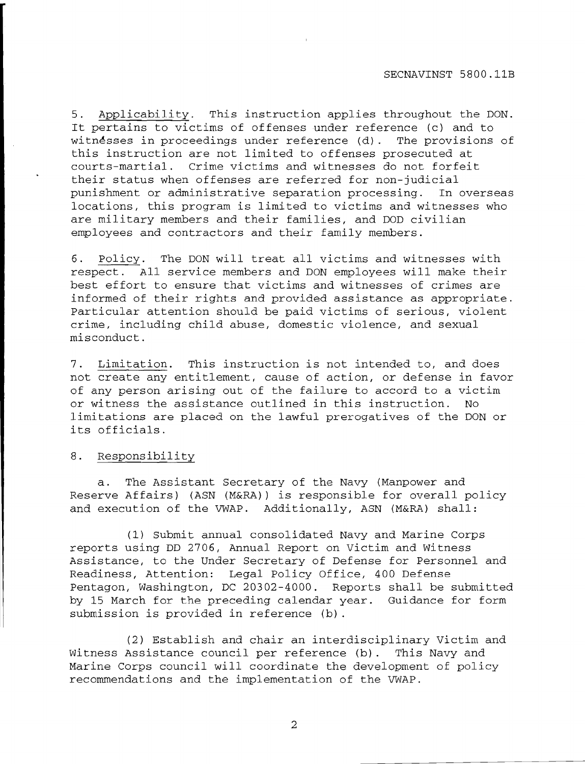5. Applicability. This instruction applies throughout the DON. It pertains to victims of offenses under reference *(c)* and to witnesses in proceedings under reference  $(d)$ . The provisions of this instruction are not limited to offenses prosecuted at courts-martial. Crime victims and witnesses do not forfeit their status when offenses are referred for non-judicial punishment or administrative separation processing. In overseas locations, this program is limited to victims and witnesses who are military members and their families, and DOD civilian employees and contractors and their family members.

6. Policy. The DON will treat all victims and witnesses with respect. All service members and DON employees will make their best effort to ensure that victims and witnesses of crimes are informed of their rights and provided assistance as appropriate. Particular attention should be paid victims of serious, violent crime, including child abuse, domestic violence, and sexual misconduct.

7. Limitation. This instruction is not intended to, and does not create any entitlement, cause of action, or defense in favor of any person arising out of the failure to accord to a victim or witness the assistance outlined in this instruction. No limitations are placed on the lawful prerogatives of the DON or its officials.

# 8. Responsibility

a. The Assistant Secretary of the Navy (Manpower and Reserve Affairs) (ASN (M&RA}) is responsible for overall policy and execution of the VWAP. Additionally, ASN (M&RA) shall:

(1) Submit annual consolidated Navy and Marine Corps reports using DD 2706, Annual Report on Victim and Witness Assistance, to the Under Secretary of Defense for Personnel and Readiness, Attention: Legal Policy Office, 400 Defense Pentagon, Washington, DC 20302-4000. Reports shall be submitted by 15 March for the preceding calendar year. Guidance for form submission is provided in reference (b).

(2) Establish and chair an interdisciplinary Victim and Witness Assistance council per reference (b). This Navy and Marine Corps council will coordinate the development of policy recommendations and the implementation of the VWAP.

2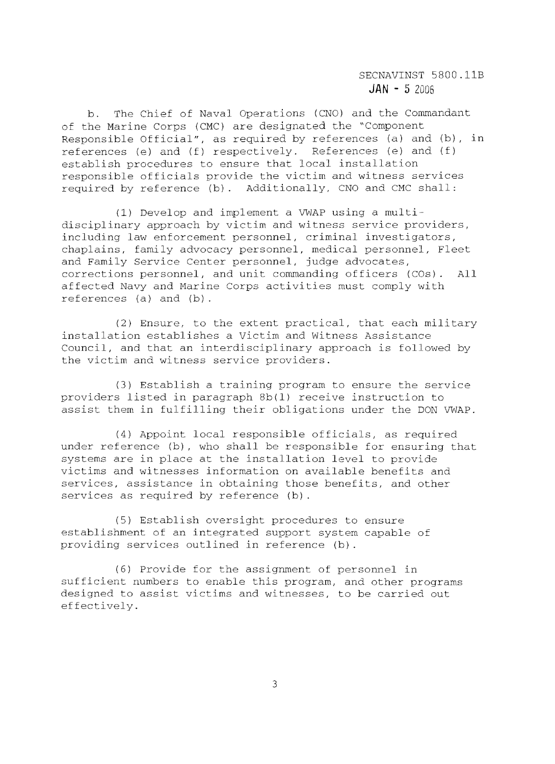SECNAVINST 5800.11B **JAN -** 5 2006

b. The Chief of Naval Operations (CNO) and the Commandant of the Marine Corps (CMC) are designated the "Component Responsible Official", as required by references (a) and (b), in references (e) and (f) respectively. References (e) and (f) establish procedures to ensure that local installation responsible officials provide the victim and witness services required by reference (b). Additionally, CNO and CMC shall:

(1) Develop and implement a VWAP using a multi disciplinary approach by victim and witness service providers, including law enforcement personnel, criminal investigators, chaplains, family advocacy personnel, medical personnel, Fleet and Family Service Center personnel, judge advocates, corrections personnel, and unit commanding officers (COs). All affected Navy and Marine Corps activities must comply with references (a) and (b).

 $(2)$  Ensure, to the extent practical, that each military installation establishes a Victim and Witness Assistance Council, and that an interdisciplinary approach is followed by the victim and witness service providers.

 $(3)$  Establish a training program to ensure the service providers listed in paragraph 8b(1) receive instruction to assist them in fulfilling their obligations under the DON VWAP.

 $(4)$  Appoint local responsible officials, as required under reference (b), who shall be responsible for ensuring that systems are in place at the installation level to provide victims and witnesses information on available benefits and services, assistance in obtaining those benefits, and other services as required by reference (b).

(5) Establish oversight procedures to ensure establishment of an integrated support system capable of providing services outlined in reference (b).

 $(6)$  Provide for the assignment of personnel in sufficient numbers to enable this program, and other programs designed to assist victims and witnesses, to be carried out effectively,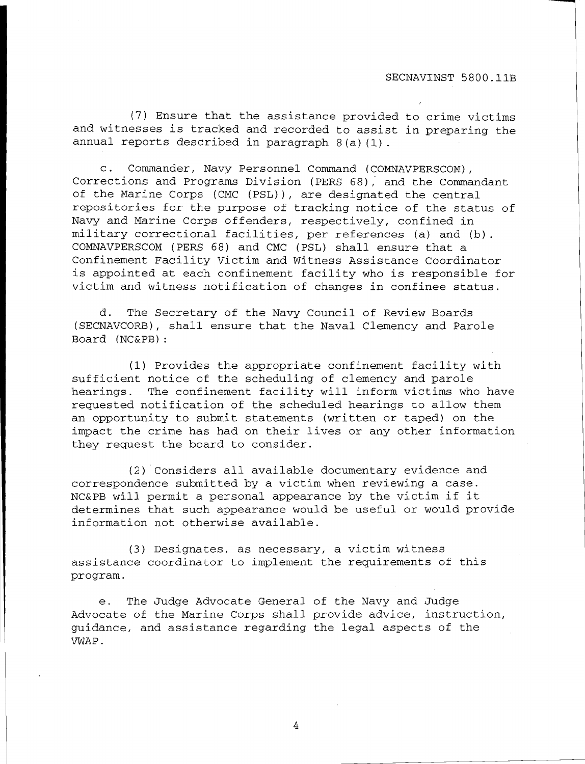(7) Ensure that the assistance provided to crime victims and witnesses is tracked and recorded to assist in preparing the annual reports described in paragraph 8(a) (1).

c. Commander, Navy Personnel Command (COMNAVPERSCOM), Corrections and Programs Division (PERS 68), and the Commandant of the Marine Corps (CMC (PSL), are designated the central repositories for the purpose of tracking notice of the status of Navy and Marine Corps offenders, respectively, confined in military correctional facilities, per references (a) and (b). COMNAVPERSCOM (PERS 68) and CMC (PSL) shall ensure that a Confinement Facility victim and Witness Assistance Coordinator is appointed at each confinement facility who is responsible for victim and witness notification of changes in confinee status.

d. The Secretary of the Navy Council of Review Boards (SECNAVCORB), shall ensure that the Naval Clemency and Parole Board (NC&PB):

(1) Provides the appropriate confinement facility with sufficient notice of the scheduling of clemency and parole hearings. The confinement facility will inform victims who have requested notification of the scheduled hearings to allow them an opportunity to submit statements (written or taped) on the impact the crime has had on their lives or any other information they request the board to consider.

(2) Considers all available documentary evidence and correspondence submitted by a victim when reviewing a case. NC&PB will permit a personal appearance by the victim if it determines that such appearance would be useful or would provide information not otherwise available.

(3) Designates, as necessary, a victim witness assistance coordinator to implement the requirements of this program.

e. The Judge Advocate General of the Navy and Judge Advocate of the Marine Corps shall provide advice, instruction, guidance, and assistance regarding the legal aspects of the VWAP.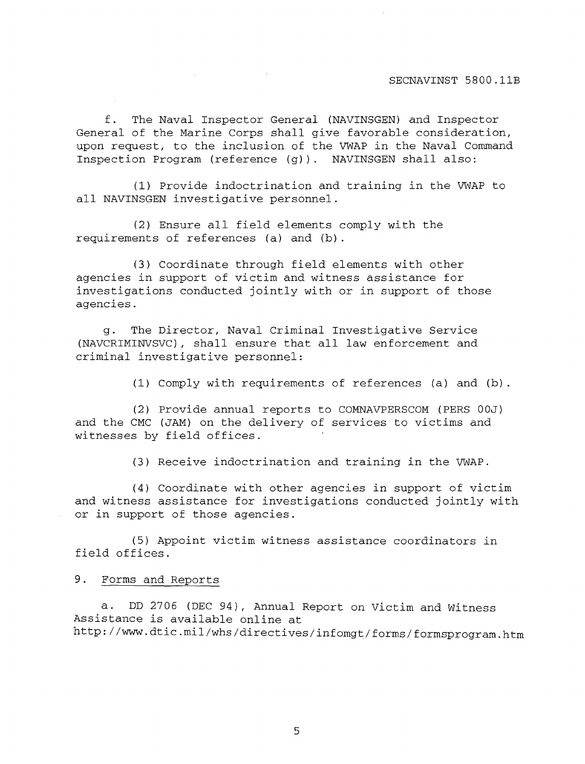f. The Naval Inspector General (NAVINSGEN) and Inspector General of the Marine Corps shall give favorable consideration, upon request, to the inclusion of the VWAP in the Naval Command Inspection Program (reference (g)). NAVINSGEN shall also:

(1) Provide indoctrination and training in the VWAP to all NAVINSGEN investigative personnel.

(2) Ensure all field elements comply with the requirements of references (a) and (b).

 $\mathcal{L}(\mathcal{L}(\mathcal{L}(\mathcal{L}(\mathcal{L}(\mathcal{L}(\mathcal{L}(\mathcal{L}(\mathcal{L}(\mathcal{L}(\mathcal{L}(\mathcal{L}(\mathcal{L}(\mathcal{L}(\mathcal{L}(\mathcal{L}(\mathcal{L}(\mathcal{L}(\mathcal{L}(\mathcal{L}(\mathcal{L}(\mathcal{L}(\mathcal{L}(\mathcal{L}(\mathcal{L}(\mathcal{L}(\mathcal{L}(\mathcal{L}(\mathcal{L}(\mathcal{L}(\mathcal{L}(\mathcal{L}(\mathcal{L}(\mathcal{L}(\mathcal{L}(\mathcal{L}(\mathcal{$ 

(3) Coordinate through field elements with other agencies in support of victim and witness assistance for investigations conducted jointly with or in support of those agencies.

g. The Director, Naval Criminal Investigative Service (NAVCRIMINVSVC), shall ensure that all law enforcement and criminal investigative personnel:

(1) Comply with requirements of references (a) and (b).

(2) Provide annual reports to COMNAVPERSCOM (PERS OOJ) and the CMC (JAM) on the delivery of services to victims and witnesses by field offices.

(3) Receive indoctrination and training in the VWAP.

(4) Coordinate with other agencies in support of victim and witness assistance for investigations conducted jointly with or in support of those agencies.

(5) Appoint victim witness assistance coordinators in field offices.

9. Forms and Reports

a. DD 2706 (DEC 94), Annual Report on Victim and Witness Assistance is available online at http://www.dtic.mil/whs/directives/infomgt/forms/formsprogram.htm

5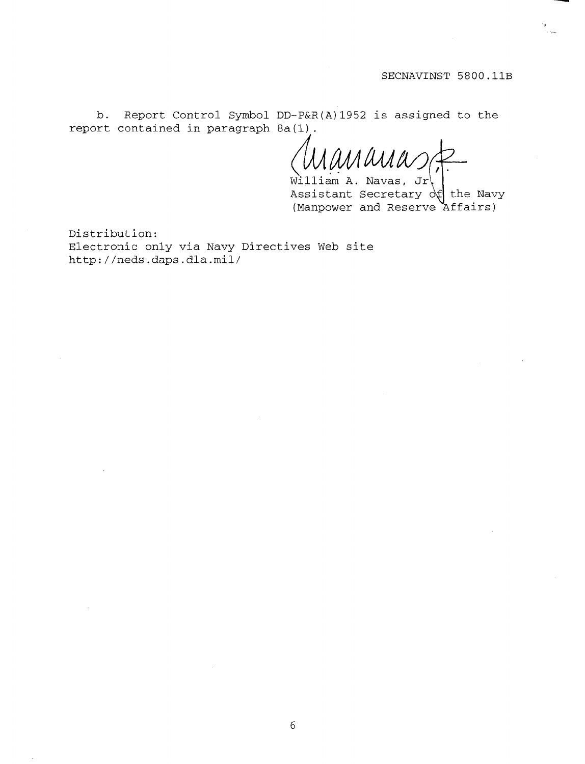**b.** Report Control Symbol DD-P&R(A)1952 is assigned to the report contained in paragraph 8a(1) .

 $\left<$  *MMMMM* 

Assistant Secretary  $\partial f$  the Navy (Manpower and Reserve Affairs)

Distribution: Electronic only via Navy Directives Web site http://neds.daps.dla.mil/

6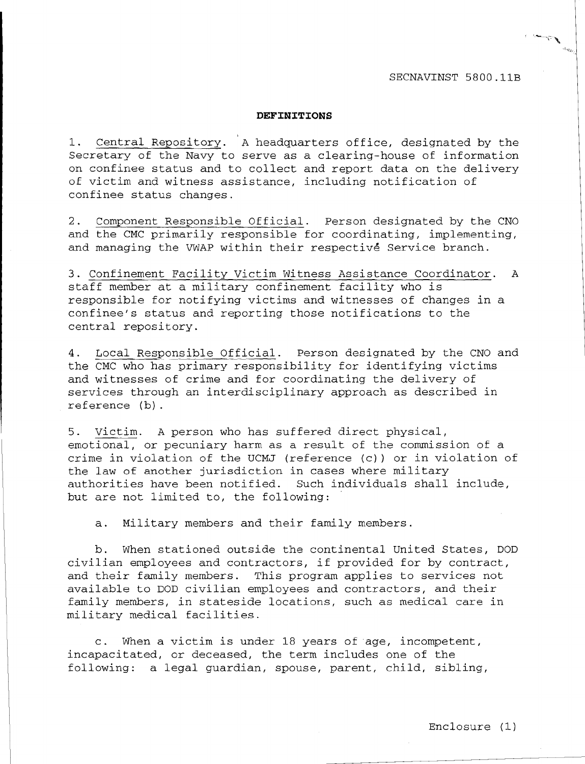#### **DEFINITIONS**

1. Central Repository. A headquarters office, designated by the Secretary of the Navy to serve as a clearing-house of information on confinee status and to collect and report data on the delivery of victim and witness assistance, including notification of confinee status changes.

2. Component Responsible Official. Person designated by the CNO and the CMC primarily responsible for coordinating, implementing, and managing the VWAP within their respective Service branch.

3. Confinement Facility victim Witness Assistance Coordinator. A staff member at a military confinement facility who is Ï responsible for notifying victims and witnesses of changes in a confinee's status and reporting those notifications to the central repository.

4. Local Responsible Official. Person designated by the CNO and the CMC who has primary responsibility for identifying victims and witnesses of crime and for coordinating the delivery of services through an interdisciplinary approach as described in reference (b).

5. Victim. A person who has suffered direct physical, emotional, or pecuniary harm as a result of the commission of a crime in violation of the UCMJ (reference (c)) or in violation of the law of another jurisdiction in cases where military authorities have been notified. Such individuals shall include, but are not limited to, the following:

a. Military members and their family members.

b. When stationed outside the continental United States, DOD civilian employees and contractors, if provided for by contract, and their family members. This program applies to services not available to DOD civilian employees and contractors, and their family members, in stateside locations, such as medical care in military medical facilities.

c. When a victim is under 18 years of age, incompetent, incapacitated, or deceased, the term includes one of the following: a legal guardian, spouse, parent, child, sibling,